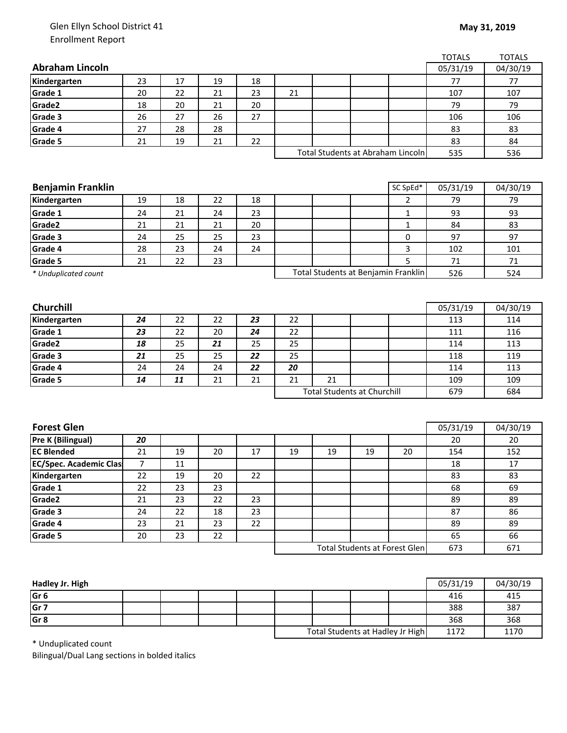## Glen Ellyn School District 41 Enrollment Report

|                               |          |          |          |          |                                    |    |    |                                      | <b>TOTALS</b> | <b>TOTALS</b> |
|-------------------------------|----------|----------|----------|----------|------------------------------------|----|----|--------------------------------------|---------------|---------------|
| <b>Abraham Lincoln</b>        |          |          |          |          |                                    |    |    |                                      | 05/31/19      | 04/30/19      |
| Kindergarten                  | 23       | 17       | 19       | 18       |                                    |    |    |                                      | 77            | 77            |
| Grade 1                       | 20       | 22       | 21       | 23       | 21                                 |    |    |                                      | 107           | 107           |
| Grade2                        | 18       | 20       | 21       | 20       |                                    |    |    |                                      | 79            | 79            |
| Grade 3                       | 26       | 27       | 26       | 27       |                                    |    |    |                                      | 106           | 106           |
| Grade 4                       | 27       | 28       | 28       |          |                                    |    |    |                                      | 83            | 83            |
| Grade 5                       | 21       | 19       | 21       | 22       |                                    |    |    |                                      | 83            | 84            |
|                               |          |          |          |          | Total Students at Abraham Lincoln  |    |    |                                      | 535           | 536           |
|                               |          |          |          |          |                                    |    |    |                                      |               |               |
|                               |          |          |          |          |                                    |    |    |                                      |               |               |
| <b>Benjamin Franklin</b>      |          |          |          |          |                                    |    |    | SC SpEd*                             | 05/31/19      | 04/30/19      |
| Kindergarten                  | 19       | 18       | 22       | 18       |                                    |    |    | 2                                    | 79            | 79            |
| Grade 1                       | 24       | 21       | 24       | 23       |                                    |    |    | 1                                    | 93            | 93            |
| Grade2                        | 21       | 21       | 21       | 20       |                                    |    |    | $\mathbf{1}$                         | 84            | 83            |
| Grade 3                       | 24       | 25       | 25       | 23       |                                    |    |    | 0                                    | 97            | 97            |
| Grade 4                       | 28       | 23       | 24       | 24       |                                    |    |    | 3                                    | 102           | 101           |
| Grade 5                       | 21       | 22       | 23       |          |                                    |    |    | 5                                    | 71            | 71            |
| * Unduplicated count          |          |          |          |          |                                    |    |    | Total Students at Benjamin Franklin  | 526           | 524           |
|                               |          |          |          |          |                                    |    |    |                                      |               |               |
|                               |          |          |          |          |                                    |    |    |                                      |               |               |
| Churchill                     |          |          | 22       |          |                                    |    |    |                                      | 05/31/19      | 04/30/19      |
| Kindergarten<br>Grade 1       | 24       | 22       |          | 23       | 22                                 |    |    |                                      | 113           | 114           |
| Grade2                        | 23<br>18 | 22<br>25 | 20<br>21 | 24<br>25 | 22<br>25                           |    |    |                                      | 111<br>114    | 116<br>113    |
| Grade 3                       | 21       | 25       | 25       | 22       | 25                                 |    |    |                                      | 118           | 119           |
| Grade 4                       | 24       | 24       | 24       | 22       | 20                                 |    |    |                                      | 114           | 113           |
| Grade 5                       | 14       | 11       | 21       | 21       | 21                                 | 21 |    |                                      | 109           | 109           |
|                               |          |          |          |          | <b>Total Students at Churchill</b> |    |    |                                      | 679           | 684           |
|                               |          |          |          |          |                                    |    |    |                                      |               |               |
|                               |          |          |          |          |                                    |    |    |                                      |               |               |
| <b>Forest Glen</b>            |          |          |          |          |                                    |    |    |                                      | 05/31/19      | 04/30/19      |
| <b>Pre K (Bilingual)</b>      | 20       |          |          |          |                                    |    |    |                                      | 20            | 20            |
| <b>EC Blended</b>             | 21       | 19       | 20       | 17       | 19                                 | 19 | 19 | 20                                   | 154           | 152           |
| <b>EC/Spec. Academic Clas</b> | 7        | 11       |          |          |                                    |    |    |                                      | 18            | 17            |
| Kindergarten                  | 22       | 19       | 20       | 22       |                                    |    |    |                                      | 83            | 83            |
| Grade 1                       | 22       | 23       | 23       |          |                                    |    |    |                                      | 68            | 69            |
| Grade <sub>2</sub>            | 21       | 23       | 22       | 23       |                                    |    |    |                                      | 89            | 89            |
| Grade 3                       | 24       | 22       | 18       | 23       |                                    |    |    |                                      | 87            | 86            |
| Grade 4                       | 23       | 21       | 23       | 22       |                                    |    |    |                                      | 89            | 89            |
| Grade 5                       | 20       | 23       | 22       |          |                                    |    |    |                                      | 65            | 66            |
|                               |          |          |          |          |                                    |    |    | <b>Total Students at Forest Glen</b> | 673           | 671           |
|                               |          |          |          |          |                                    |    |    |                                      |               |               |

| Hadley Jr. High |  |  |                                  |  |      | 05/31/19 | 04/30/19 |
|-----------------|--|--|----------------------------------|--|------|----------|----------|
| Gr <sub>6</sub> |  |  |                                  |  |      | 416      | 415      |
| Gr <sub>7</sub> |  |  |                                  |  |      | 388      | 387      |
| Gr <sub>8</sub> |  |  |                                  |  |      | 368      | 368      |
|                 |  |  | Total Students at Hadley Jr High |  | 1172 | 1170     |          |

\* Unduplicated count

Bilingual/Dual Lang sections in bolded italics